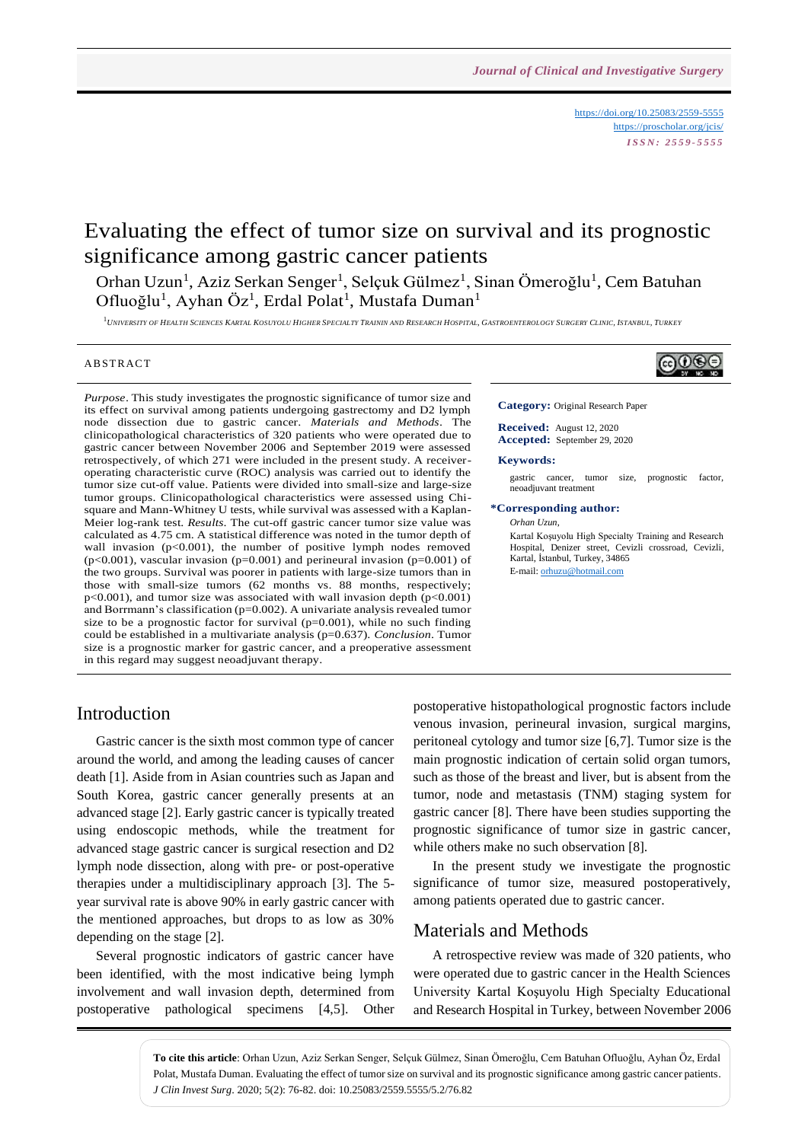<https://doi.org/10.25083/2559-5555> <https://proscholar.org/jcis/> *I S S N : 2 5 5 9 - 5 5 5 5*

# Evaluating the effect of tumor size on survival and its prognostic significance among gastric cancer patients

Orhan Uzun<sup>1</sup>, Aziz Serkan Senger<sup>1</sup>, Selçuk Gülmez<sup>1</sup>, Sinan Ömeroğlu<sup>1</sup>, Cem Batuhan Ofluoğlu<sup>1</sup>, Ayhan Öz<sup>1</sup>, Erdal Polat<sup>1</sup>, Mustafa Duman<sup>1</sup>

1<br>University of Health Sciences Kartal Kosuyolu Higher Specialty Trainin and Research Hospital, Gastroenterology Surgery Clinic, Istanbul, Turkey

### A B STR ACT

*Purpose*. This study investigates the prognostic significance of tumor size and its effect on survival among patients undergoing gastrectomy and D2 lymph node dissection due to gastric cancer. *Materials and Methods*. The clinicopathological characteristics of 320 patients who were operated due to gastric cancer between November 2006 and September 2019 were assessed retrospectively, of which 271 were included in the present study. A receiveroperating characteristic curve (ROC) analysis was carried out to identify the tumor size cut-off value. Patients were divided into small-size and large-size tumor groups. Clinicopathological characteristics were assessed using Chisquare and Mann-Whitney U tests, while survival was assessed with a Kaplan-Meier log-rank test. *Results*. The cut-off gastric cancer tumor size value was calculated as 4.75 cm. A statistical difference was noted in the tumor depth of wall invasion ( $p<0.001$ ), the number of positive lymph nodes removed (p<0.001), vascular invasion (p=0.001) and perineural invasion (p=0.001) of the two groups. Survival was poorer in patients with large-size tumors than in those with small-size tumors (62 months vs. 88 months, respectively;  $p<0.001$ ), and tumor size was associated with wall invasion depth ( $p<0.001$ ) and Borrmann's classification (p=0.002). A univariate analysis revealed tumor size to be a prognostic factor for survival  $(p=0.001)$ , while no such finding could be established in a multivariate analysis (p=0.637). *Conclusion*. Tumor size is a prognostic marker for gastric cancer, and a preoperative assessment in this regard may suggest neoadjuvant therapy.



**Category:** Original Research Paper

**Received:** August 12, 2020 **Accepted:** September 29, 2020

#### **Keywords:**

gastric cancer, tumor size, prognostic factor, neoadjuvant treatment

#### **\*Corresponding author:**

*Orhan Uzun*,

Kartal Koşuyolu High Specialty Training and Research Hospital, Denizer street, Cevizli crossroad, Cevizli, Kartal, İstanbul, Turkey, 34865 E-mail[: orhuzu@hotmail.com](mailto:orhuzu@hotmail.com)

## Introduction

Gastric cancer is the sixth most common type of cancer around the world, and among the leading causes of cancer death [1]. Aside from in Asian countries such as Japan and South Korea, gastric cancer generally presents at an advanced stage [2]. Early gastric cancer is typically treated using endoscopic methods, while the treatment for advanced stage gastric cancer is surgical resection and D2 lymph node dissection, along with pre- or post-operative therapies under a multidisciplinary approach [3]. The 5 year survival rate is above 90% in early gastric cancer with the mentioned approaches, but drops to as low as 30% depending on the stage [2].

Several prognostic indicators of gastric cancer have been identified, with the most indicative being lymph involvement and wall invasion depth, determined from postoperative pathological specimens [4,5]. Other

postoperative histopathological prognostic factors include venous invasion, perineural invasion, surgical margins, peritoneal cytology and tumor size [6,7]. Tumor size is the main prognostic indication of certain solid organ tumors, such as those of the breast and liver, but is absent from the tumor, node and metastasis (TNM) staging system for gastric cancer [8]. There have been studies supporting the prognostic significance of tumor size in gastric cancer, while others make no such observation [8].

In the present study we investigate the prognostic significance of tumor size, measured postoperatively, among patients operated due to gastric cancer.

### Materials and Methods

A retrospective review was made of 320 patients, who were operated due to gastric cancer in the Health Sciences University Kartal Koşuyolu High Specialty Educational and Research Hospital in Turkey, between November 2006

**To cite this article**: Orhan Uzun, Aziz Serkan Senger, Selçuk Gülmez, Sinan Ömeroğlu, Cem Batuhan Ofluoğlu, Ayhan Öz, Erdal Polat, Mustafa Duman. Evaluating the effect of tumor size on survival and its prognostic significance among gastric cancer patients. *J Clin Invest Surg*. 2020; 5(2): 76-82. doi: 10.25083/2559.5555/5.2/76.82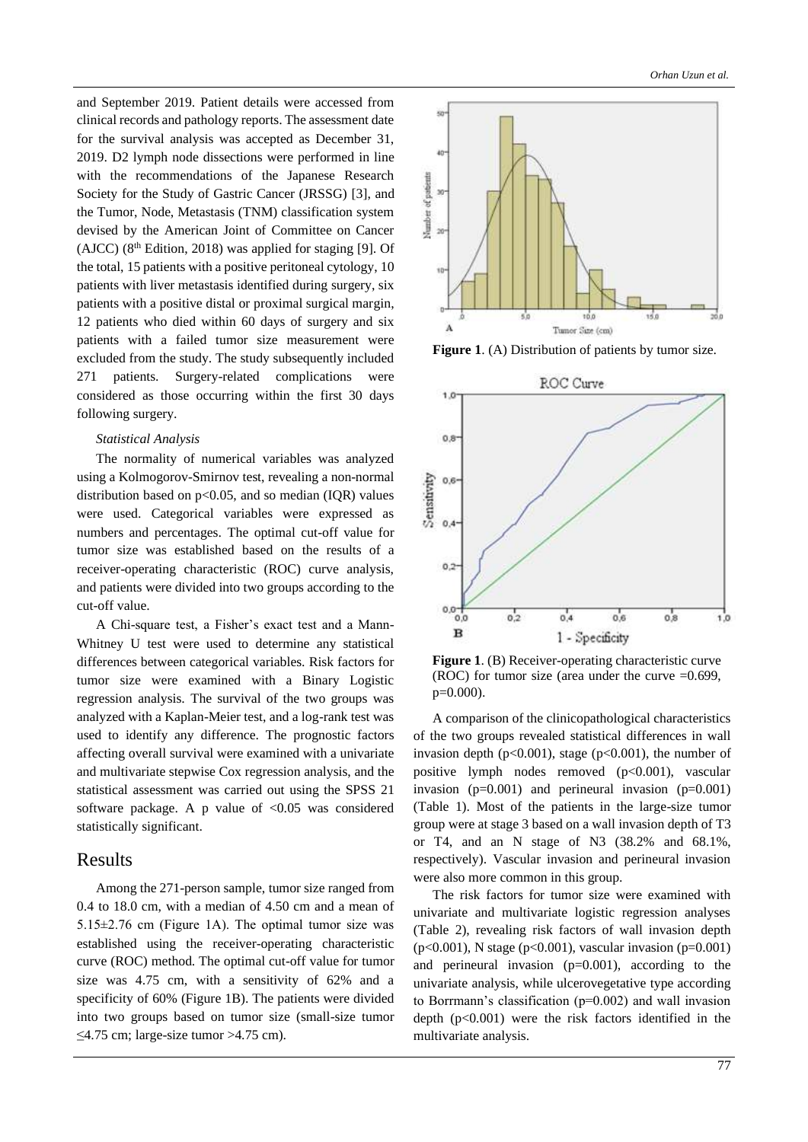and September 2019. Patient details were accessed from clinical records and pathology reports. The assessment date for the survival analysis was accepted as December 31, 2019. D2 lymph node dissections were performed in line with the recommendations of the Japanese Research Society for the Study of Gastric Cancer (JRSSG) [3], and the Tumor, Node, Metastasis (TNM) classification system devised by the American Joint of Committee on Cancer (AJCC)  $(8<sup>th</sup> Edition, 2018)$  was applied for staging [9]. Of the total, 15 patients with a positive peritoneal cytology, 10 patients with liver metastasis identified during surgery, six patients with a positive distal or proximal surgical margin, 12 patients who died within 60 days of surgery and six patients with a failed tumor size measurement were excluded from the study. The study subsequently included 271 patients. Surgery-related complications were considered as those occurring within the first 30 days following surgery.

### *Statistical Analysis*

The normality of numerical variables was analyzed using a Kolmogorov-Smirnov test, revealing a non-normal distribution based on  $p<0.05$ , and so median (IQR) values were used. Categorical variables were expressed as numbers and percentages. The optimal cut-off value for tumor size was established based on the results of a receiver-operating characteristic (ROC) curve analysis, and patients were divided into two groups according to the cut-off value.

A Chi-square test, a Fisher's exact test and a Mann-Whitney U test were used to determine any statistical differences between categorical variables. Risk factors for tumor size were examined with a Binary Logistic regression analysis. The survival of the two groups was analyzed with a Kaplan-Meier test, and a log-rank test was used to identify any difference. The prognostic factors affecting overall survival were examined with a univariate and multivariate stepwise Cox regression analysis, and the statistical assessment was carried out using the SPSS 21 software package. A p value of  $\langle 0.05 \rangle$  was considered statistically significant.

### Results

Among the 271-person sample, tumor size ranged from 0.4 to 18.0 cm, with a median of 4.50 cm and a mean of 5.15±2.76 cm (Figure 1A). The optimal tumor size was established using the receiver-operating characteristic curve (ROC) method. The optimal cut-off value for tumor size was 4.75 cm, with a sensitivity of 62% and a specificity of 60% (Figure 1B). The patients were divided into two groups based on tumor size (small-size tumor  $\leq$ 4.75 cm; large-size tumor >4.75 cm).



Figure 1. (A) Distribution of patients by tumor size.



**Figure 1**. (B) Receiver-operating characteristic curve (ROC) for tumor size (area under the curve  $=0.699$ , p=0.000).

A comparison of the clinicopathological characteristics of the two groups revealed statistical differences in wall invasion depth ( $p<0.001$ ), stage ( $p<0.001$ ), the number of positive lymph nodes removed (p<0.001), vascular invasion  $(p=0.001)$  and perineural invasion  $(p=0.001)$ (Table 1). Most of the patients in the large-size tumor group were at stage 3 based on a wall invasion depth of T3 or T4, and an N stage of N3 (38.2% and 68.1%, respectively). Vascular invasion and perineural invasion were also more common in this group.

The risk factors for tumor size were examined with univariate and multivariate logistic regression analyses (Table 2), revealing risk factors of wall invasion depth (p<0.001), N stage (p<0.001), vascular invasion (p=0.001) and perineural invasion  $(p=0.001)$ , according to the univariate analysis, while ulcerovegetative type according to Borrmann's classification (p=0.002) and wall invasion depth  $(p<0.001)$  were the risk factors identified in the multivariate analysis.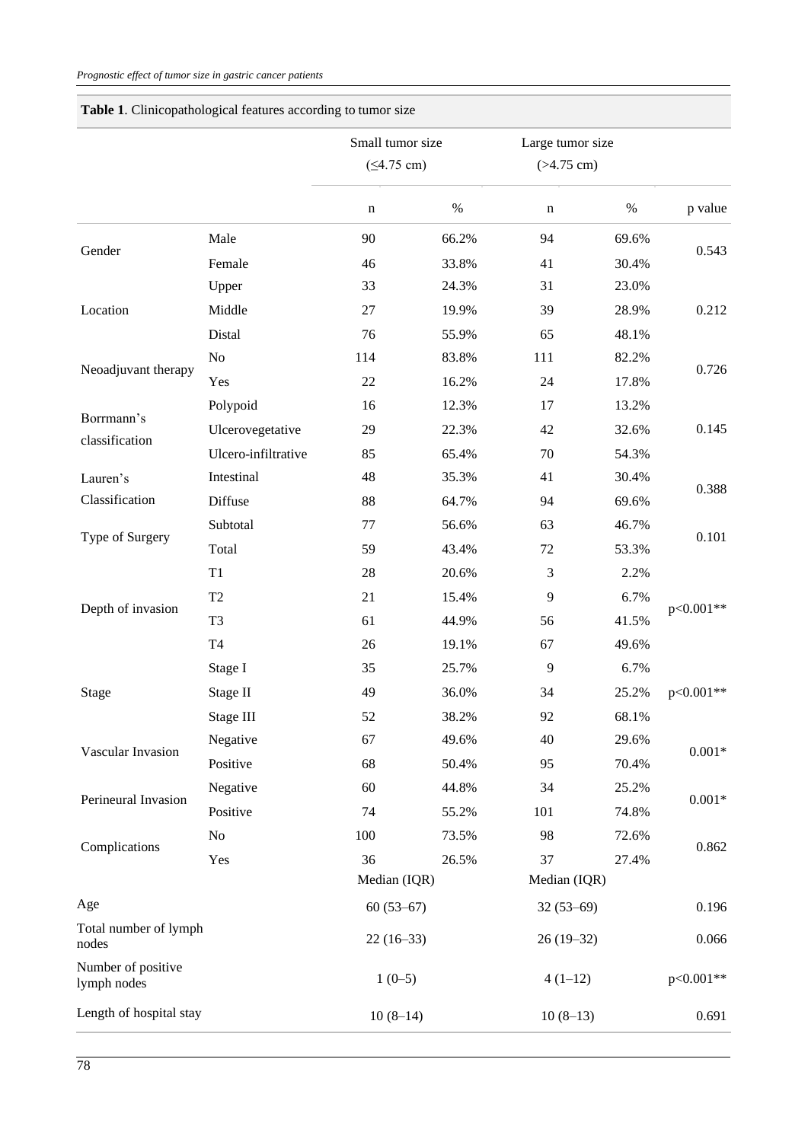|                                   |                     | Small tumor size     |       | Large tumor size |       |           |
|-----------------------------------|---------------------|----------------------|-------|------------------|-------|-----------|
|                                   |                     | $(54.75 \text{ cm})$ |       | $(>4.75$ cm)     |       |           |
|                                   |                     | $\mathbf n$          | $\%$  | n                | $\%$  | p value   |
| Gender                            | Male                | 90                   | 66.2% | 94               | 69.6% | 0.543     |
|                                   | Female              | 46                   | 33.8% | 41               | 30.4% |           |
|                                   | Upper               | 33                   | 24.3% | 31               | 23.0% |           |
| Location                          | Middle              | 27                   | 19.9% | 39               | 28.9% | 0.212     |
|                                   | Distal              | 76                   | 55.9% | 65               | 48.1% |           |
|                                   | No                  | 114                  | 83.8% | 111              | 82.2% |           |
| Neoadjuvant therapy               | Yes                 | 22                   | 16.2% | 24               | 17.8% | 0.726     |
|                                   | Polypoid            | 16                   | 12.3% | 17               | 13.2% |           |
| Borrmann's                        | Ulcerovegetative    | 29                   | 22.3% | 42               | 32.6% | 0.145     |
| classification                    | Ulcero-infiltrative | 85                   | 65.4% | 70               | 54.3% |           |
| Lauren's                          | Intestinal          | 48                   | 35.3% | 41               | 30.4% |           |
| Classification                    | Diffuse             | 88                   | 64.7% | 94               | 69.6% | 0.388     |
|                                   | Subtotal            | 77                   | 56.6% | 63               | 46.7% | 0.101     |
| Type of Surgery                   | Total               | 59                   | 43.4% | 72               | 53.3% |           |
|                                   | $\mathrm{T}1$       | 28                   | 20.6% | $\mathfrak{Z}$   | 2.2%  | p<0.001** |
|                                   | T <sub>2</sub>      | 21                   | 15.4% | $\overline{9}$   | 6.7%  |           |
| Depth of invasion                 | T <sub>3</sub>      | 61                   | 44.9% | 56               | 41.5% |           |
|                                   | T4                  | 26                   | 19.1% | 67               | 49.6% |           |
|                                   | Stage I             | 35                   | 25.7% | $\overline{9}$   | 6.7%  | p<0.001** |
| Stage                             | Stage II            | 49                   | 36.0% | 34               | 25.2% |           |
|                                   | Stage III           | 52                   | 38.2% | 92               | 68.1% |           |
|                                   | Negative            | 67                   | 49.6% | 40               | 29.6% | $0.001*$  |
| Vascular Invasion                 | Positive            | 68                   | 50.4% | 95               | 70.4% |           |
| Perineural Invasion               | Negative            | 60                   | 44.8% | 34               | 25.2% | $0.001*$  |
|                                   | Positive            | 74                   | 55.2% | 101              | 74.8% |           |
| Complications                     | No                  | 100                  | 73.5% | 98               | 72.6% | 0.862     |
|                                   | Yes                 | 36                   | 26.5% | 37               | 27.4% |           |
|                                   |                     | Median (IQR)         |       | Median (IQR)     |       |           |
| Age                               |                     | $60(53-67)$          |       | $32(53-69)$      |       | 0.196     |
| Total number of lymph<br>nodes    |                     | $22(16-33)$          |       | $26(19-32)$      |       | 0.066     |
| Number of positive<br>lymph nodes |                     | $1(0-5)$             |       | $4(1-12)$        |       | p<0.001** |
| Length of hospital stay           |                     | $10(8-14)$           |       | $10(8-13)$       |       | 0.691     |

# **Table 1**. Clinicopathological features according to tumor size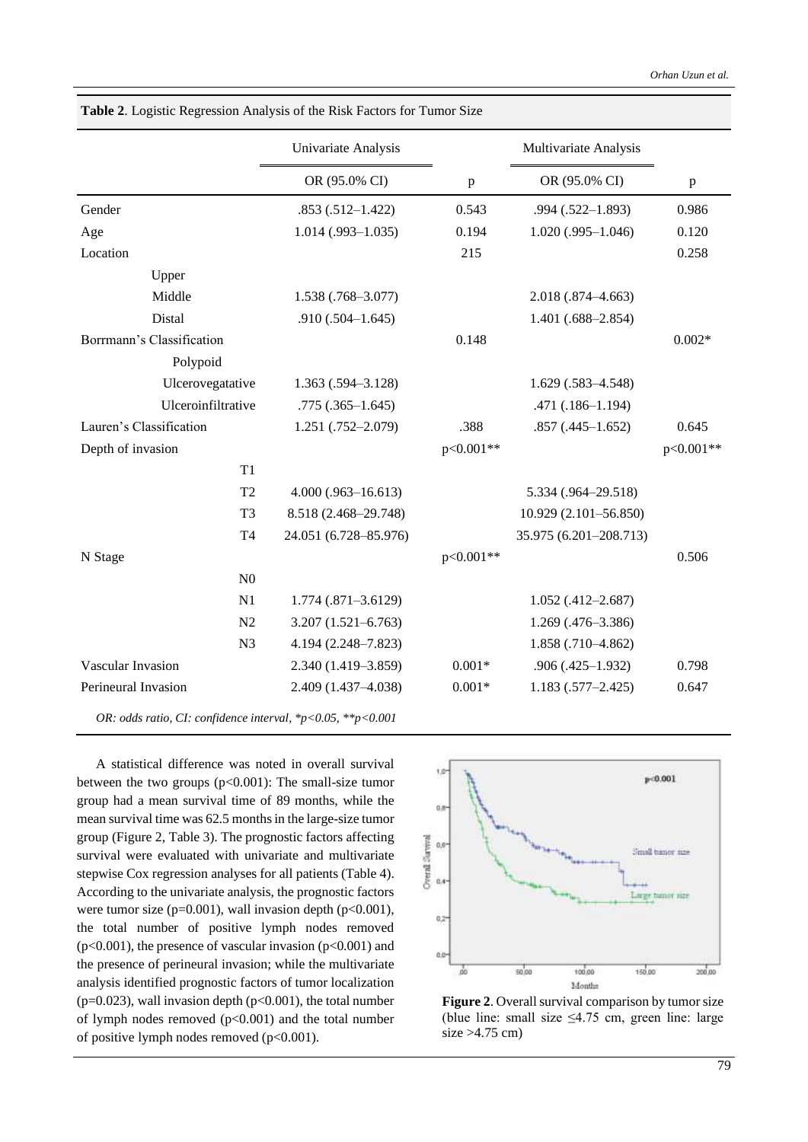|                                                             | Univariate Analysis    |              | Multivariate Analysis  |              |
|-------------------------------------------------------------|------------------------|--------------|------------------------|--------------|
|                                                             | OR (95.0% CI)          | $\, {\bf p}$ | OR (95.0% CI)          | $\, {\bf p}$ |
| Gender                                                      | $.853(.512 - 1.422)$   | 0.543        | $.994(.522 - 1.893)$   | 0.986        |
| Age                                                         | $1.014$ (.993-1.035)   | 0.194        | $1.020$ (.995-1.046)   | 0.120        |
| Location                                                    |                        | 215          |                        | 0.258        |
| Upper                                                       |                        |              |                        |              |
| Middle                                                      | 1.538 (.768-3.077)     |              | 2.018 (.874-4.663)     |              |
| Distal                                                      | $.910(.504-1.645)$     |              | $1.401(.688 - 2.854)$  |              |
| Borrmann's Classification                                   |                        | 0.148        |                        | $0.002*$     |
| Polypoid                                                    |                        |              |                        |              |
| Ulcerovegatative                                            | $1.363(.594 - 3.128)$  |              | $1.629(.583 - 4.548)$  |              |
| Ulceroinfiltrative                                          | $.775(.365-1.645)$     |              | .471 (.186-1.194)      |              |
| Lauren's Classification                                     | $1.251(.752 - 2.079)$  | .388         | $.857(.445-1.652)$     | 0.645        |
| Depth of invasion                                           |                        | p<0.001**    |                        | p<0.001**    |
| T1                                                          |                        |              |                        |              |
| T2                                                          | $4.000$ (.963-16.613)  |              | 5.334 (.964-29.518)    |              |
| T <sub>3</sub>                                              | 8.518 (2.468-29.748)   |              | 10.929 (2.101-56.850)  |              |
| T <sub>4</sub>                                              | 24.051 (6.728-85.976)  |              | 35.975 (6.201-208.713) |              |
| N Stage                                                     |                        | $p<0.001**$  |                        | 0.506        |
| N <sub>0</sub>                                              |                        |              |                        |              |
| N1                                                          | 1.774 (.871-3.6129)    |              | $1.052(.412 - 2.687)$  |              |
| N2                                                          | $3.207(1.521 - 6.763)$ |              | 1.269 (.476-3.386)     |              |
| N <sub>3</sub>                                              | 4.194 (2.248-7.823)    |              | 1.858 (.710-4.862)     |              |
| Vascular Invasion                                           | 2.340 (1.419-3.859)    | $0.001*$     | $.906(.425-1.932)$     | 0.798        |
| Perineural Invasion                                         | 2.409 (1.437-4.038)    | $0.001*$     | $1.183(.577 - 2.425)$  | 0.647        |
| OR: odds ratio, CI: confidence interval, *p<0.05, **p<0.001 |                        |              |                        |              |

**Table 2**. Logistic Regression Analysis of the Risk Factors for Tumor Size

A statistical difference was noted in overall survival between the two groups (p<0.001): The small-size tumor group had a mean survival time of 89 months, while the mean survival time was 62.5 months in the large-size tumor group (Figure 2, Table 3). The prognostic factors affecting survival were evaluated with univariate and multivariate stepwise Cox regression analyses for all patients (Table 4). According to the univariate analysis, the prognostic factors were tumor size ( $p=0.001$ ), wall invasion depth ( $p<0.001$ ), the total number of positive lymph nodes removed ( $p<0.001$ ), the presence of vascular invasion ( $p<0.001$ ) and the presence of perineural invasion; while the multivariate analysis identified prognostic factors of tumor localization ( $p=0.023$ ), wall invasion depth ( $p<0.001$ ), the total number of lymph nodes removed  $(p<0.001)$  and the total number of positive lymph nodes removed  $(p<0.001)$ .



**Figure 2**. Overall survival comparison by tumor size (blue line: small size  $\leq$ 4.75 cm, green line: large size >4.75 cm)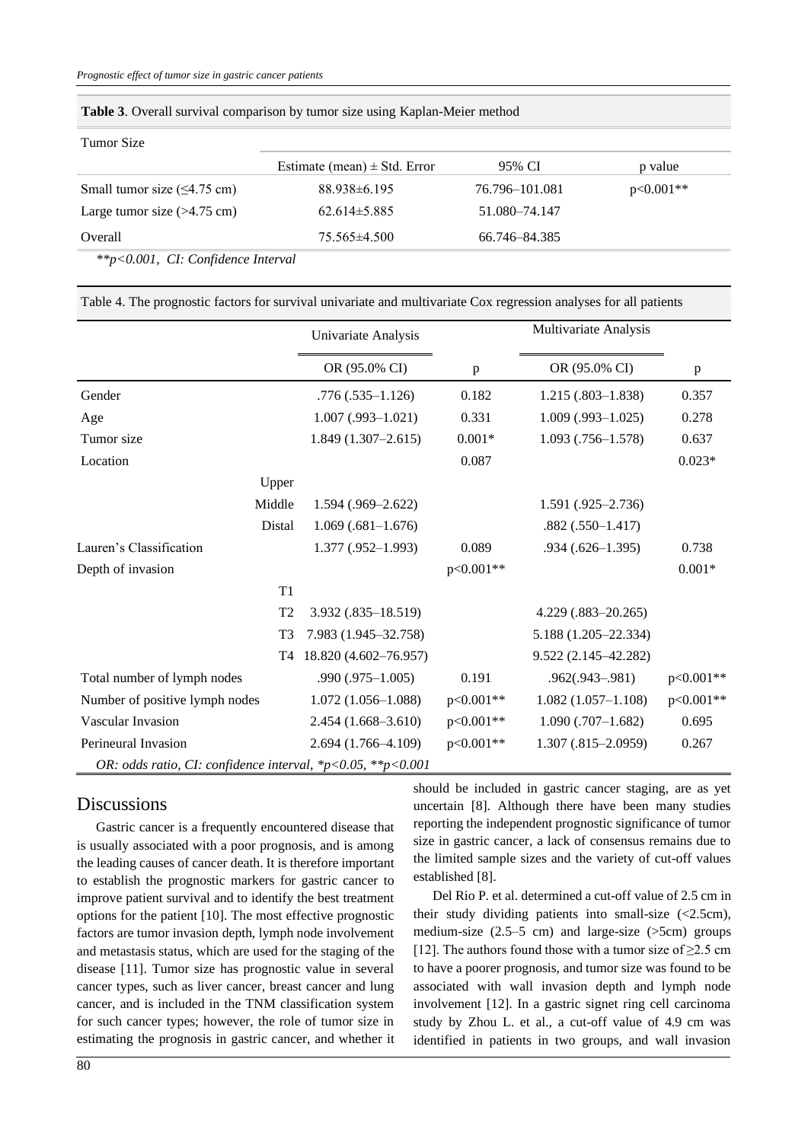| Tumor Size                           |                                  |                |             |
|--------------------------------------|----------------------------------|----------------|-------------|
|                                      | Estimate (mean) $\pm$ Std. Error | 95% CI         | p value     |
| Small tumor size $(\leq 4.75$ cm)    | 88.938±6.195                     | 76.796-101.081 | $p<0.001**$ |
| Large tumor size $(>4.75$ cm)        | $62.614\pm5.885$                 | 51.080-74.147  |             |
| Overall                              | $75.565\pm4.500$                 | 66.746-84.385  |             |
| $*p<0.001$ , CI: Confidence Interval |                                  |                |             |

**Table 3**. Overall survival comparison by tumor size using Kaplan-Meier method

| Table 4. The prognostic factors for survival univariate and multivariate Cox regression analyses for all patients |  |
|-------------------------------------------------------------------------------------------------------------------|--|
|                                                                                                                   |  |

|                                                                               | Univariate Analysis    |              | Multivariate Analysis  |             |
|-------------------------------------------------------------------------------|------------------------|--------------|------------------------|-------------|
|                                                                               | OR (95.0% CI)          | $\mathbf{p}$ | OR (95.0% CI)          | p           |
| Gender                                                                        | $.776(.535-1.126)$     | 0.182        | $1.215(.803-1.838)$    | 0.357       |
| Age                                                                           | $1.007$ (.993-1.021)   | 0.331        | $1.009$ (.993-1.025)   | 0.278       |
| Tumor size                                                                    | $1.849(1.307 - 2.615)$ | $0.001*$     | $1.093$ $(.756-1.578)$ | 0.637       |
| Location                                                                      |                        | 0.087        |                        | $0.023*$    |
| Upper                                                                         |                        |              |                        |             |
| Middle                                                                        | $1.594(.969 - 2.622)$  |              | $1.591(.925-2.736)$    |             |
| Distal                                                                        | $1.069(.681-1.676)$    |              | $.882(.550-1.417)$     |             |
| Lauren's Classification                                                       | $1.377(.952 - 1.993)$  | 0.089        | $.934(.626-1.395)$     | 0.738       |
| Depth of invasion                                                             |                        | p<0.001**    |                        | $0.001*$    |
| T <sub>1</sub>                                                                |                        |              |                        |             |
| T <sub>2</sub>                                                                | $3.932(.835-18.519)$   |              | $4.229(.883-20.265)$   |             |
| T <sub>3</sub>                                                                | 7.983 (1.945-32.758)   |              | 5.188 (1.205-22.334)   |             |
| T <sub>4</sub>                                                                | 18.820 (4.602-76.957)  |              | 9.522 (2.145-42.282)   |             |
| Total number of lymph nodes                                                   | $.990(.975-1.005)$     | 0.191        | $.962(.943-.981)$      | $p<0.001**$ |
| Number of positive lymph nodes                                                | $1.072(1.056-1.088)$   | $p<0.001**$  | $1.082(1.057-1.108)$   | p<0.001**   |
| Vascular Invasion                                                             | $2.454(1.668-3.610)$   | p<0.001**    | $1.090(.707-1.682)$    | 0.695       |
| Perineural Invasion                                                           | $2.694(1.766-4.109)$   | p<0.001**    | $1.307(.815-2.0959)$   | 0.267       |
| OR: odds ratio, CI: confidence interval, $\frac{p}{0.05}$ , $\frac{p}{0.001}$ |                        |              |                        |             |

### **Discussions**

Gastric cancer is a frequently encountered disease that is usually associated with a poor prognosis, and is among the leading causes of cancer death. It is therefore important to establish the prognostic markers for gastric cancer to improve patient survival and to identify the best treatment options for the patient [10]. The most effective prognostic factors are tumor invasion depth, lymph node involvement and metastasis status, which are used for the staging of the disease [11]. Tumor size has prognostic value in several cancer types, such as liver cancer, breast cancer and lung cancer, and is included in the TNM classification system for such cancer types; however, the role of tumor size in estimating the prognosis in gastric cancer, and whether it should be included in gastric cancer staging, are as yet uncertain [8]. Although there have been many studies reporting the independent prognostic significance of tumor size in gastric cancer, a lack of consensus remains due to the limited sample sizes and the variety of cut-off values established [8].

Del Rio P. et al. determined a cut-off value of 2.5 cm in their study dividing patients into small-size  $\langle$  -2.5cm), medium-size  $(2.5-5 \text{ cm})$  and large-size  $(5cm)$  groups [12]. The authors found those with a tumor size of  $\geq$ 2.5 cm to have a poorer prognosis, and tumor size was found to be associated with wall invasion depth and lymph node involvement [12]. In a gastric signet ring cell carcinoma study by Zhou L. et al., a cut-off value of 4.9 cm was identified in patients in two groups, and wall invasion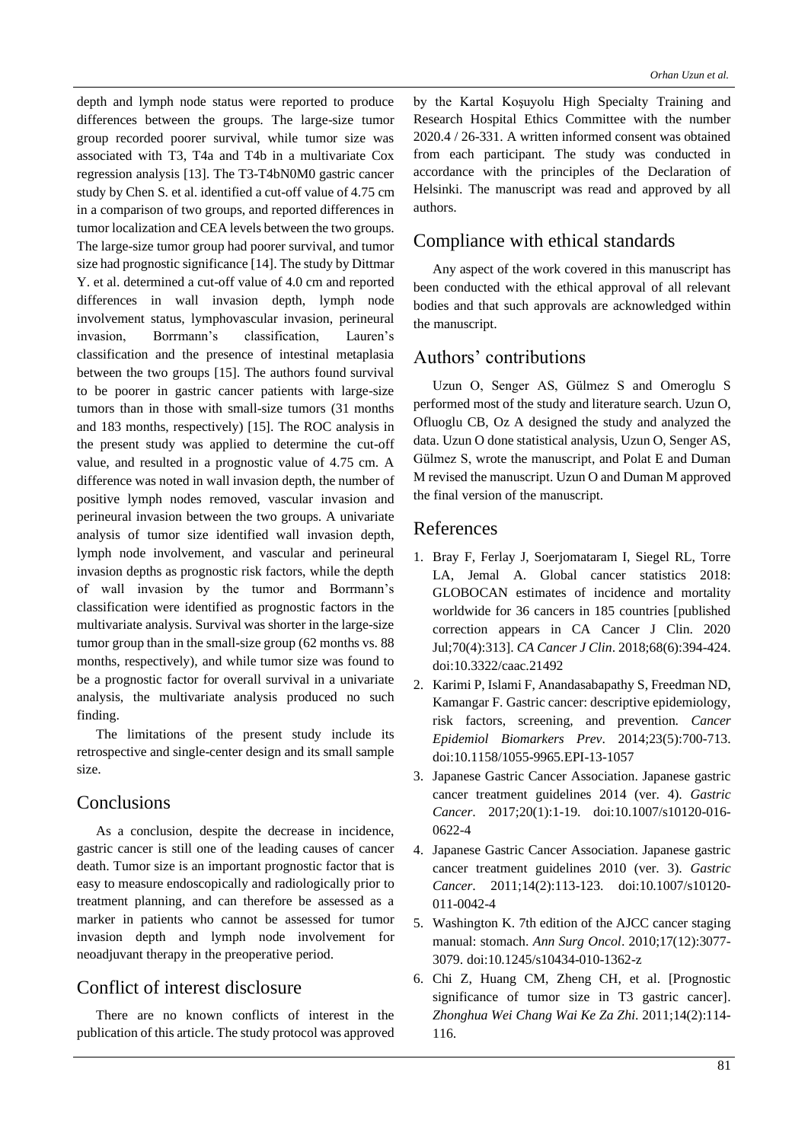depth and lymph node status were reported to produce differences between the groups. The large-size tumor group recorded poorer survival, while tumor size was associated with T3, T4a and T4b in a multivariate Cox regression analysis [13]. The T3-T4bN0M0 gastric cancer study by Chen S. et al. identified a cut-off value of 4.75 cm in a comparison of two groups, and reported differences in tumor localization and CEA levels between the two groups. The large-size tumor group had poorer survival, and tumor size had prognostic significance [14]. The study by Dittmar Y. et al. determined a cut-off value of 4.0 cm and reported differences in wall invasion depth, lymph node involvement status, lymphovascular invasion, perineural invasion, Borrmann's classification, Lauren's classification and the presence of intestinal metaplasia between the two groups [15]. The authors found survival to be poorer in gastric cancer patients with large-size tumors than in those with small-size tumors (31 months and 183 months, respectively) [15]. The ROC analysis in the present study was applied to determine the cut-off value, and resulted in a prognostic value of 4.75 cm. A difference was noted in wall invasion depth, the number of positive lymph nodes removed, vascular invasion and perineural invasion between the two groups. A univariate analysis of tumor size identified wall invasion depth, lymph node involvement, and vascular and perineural invasion depths as prognostic risk factors, while the depth of wall invasion by the tumor and Borrmann's classification were identified as prognostic factors in the multivariate analysis. Survival was shorter in the large-size tumor group than in the small-size group (62 months vs. 88 months, respectively), and while tumor size was found to be a prognostic factor for overall survival in a univariate analysis, the multivariate analysis produced no such finding.

The limitations of the present study include its retrospective and single-center design and its small sample size.

## Conclusions

As a conclusion, despite the decrease in incidence, gastric cancer is still one of the leading causes of cancer death. Tumor size is an important prognostic factor that is easy to measure endoscopically and radiologically prior to treatment planning, and can therefore be assessed as a marker in patients who cannot be assessed for tumor invasion depth and lymph node involvement for neoadjuvant therapy in the preoperative period.

# Conflict of interest disclosure

There are no known conflicts of interest in the publication of this article. The study protocol was approved

by the Kartal Koşuyolu High Specialty Training and Research Hospital Ethics Committee with the number 2020.4 / 26-331. A written informed consent was obtained from each participant. The study was conducted in accordance with the principles of the Declaration of Helsinki. The manuscript was read and approved by all authors.

# Compliance with ethical standards

Any aspect of the work covered in this manuscript has been conducted with the ethical approval of all relevant bodies and that such approvals are acknowledged within the manuscript.

# Authors' contributions

Uzun O, Senger AS, Gülmez S and Omeroglu S performed most of the study and literature search. Uzun O, Ofluoglu CB, Oz A designed the study and analyzed the data. Uzun O done statistical analysis, Uzun O, Senger AS, Gülmez S, wrote the manuscript, and Polat E and Duman M revised the manuscript. Uzun O and Duman M approved the final version of the manuscript.

## References

- 1. Bray F, Ferlay J, Soerjomataram I, Siegel RL, Torre LA, Jemal A. Global cancer statistics 2018: GLOBOCAN estimates of incidence and mortality worldwide for 36 cancers in 185 countries [published correction appears in CA Cancer J Clin. 2020 Jul;70(4):313]. *CA Cancer J Clin*. 2018;68(6):394-424. doi:10.3322/caac.21492
- 2. Karimi P, Islami F, Anandasabapathy S, Freedman ND, Kamangar F. Gastric cancer: descriptive epidemiology, risk factors, screening, and prevention. *Cancer Epidemiol Biomarkers Prev*. 2014;23(5):700-713. doi:10.1158/1055-9965.EPI-13-1057
- 3. Japanese Gastric Cancer Association. Japanese gastric cancer treatment guidelines 2014 (ver. 4). *Gastric Cancer*. 2017;20(1):1-19. doi:10.1007/s10120-016- 0622-4
- 4. Japanese Gastric Cancer Association. Japanese gastric cancer treatment guidelines 2010 (ver. 3). *Gastric Cancer*. 2011;14(2):113-123. doi:10.1007/s10120- 011-0042-4
- 5. Washington K. 7th edition of the AJCC cancer staging manual: stomach. *Ann Surg Oncol*. 2010;17(12):3077- 3079. doi:10.1245/s10434-010-1362-z
- 6. Chi Z, Huang CM, Zheng CH, et al. [Prognostic significance of tumor size in T3 gastric cancer]. *Zhonghua Wei Chang Wai Ke Za Zhi*. 2011;14(2):114- 116.